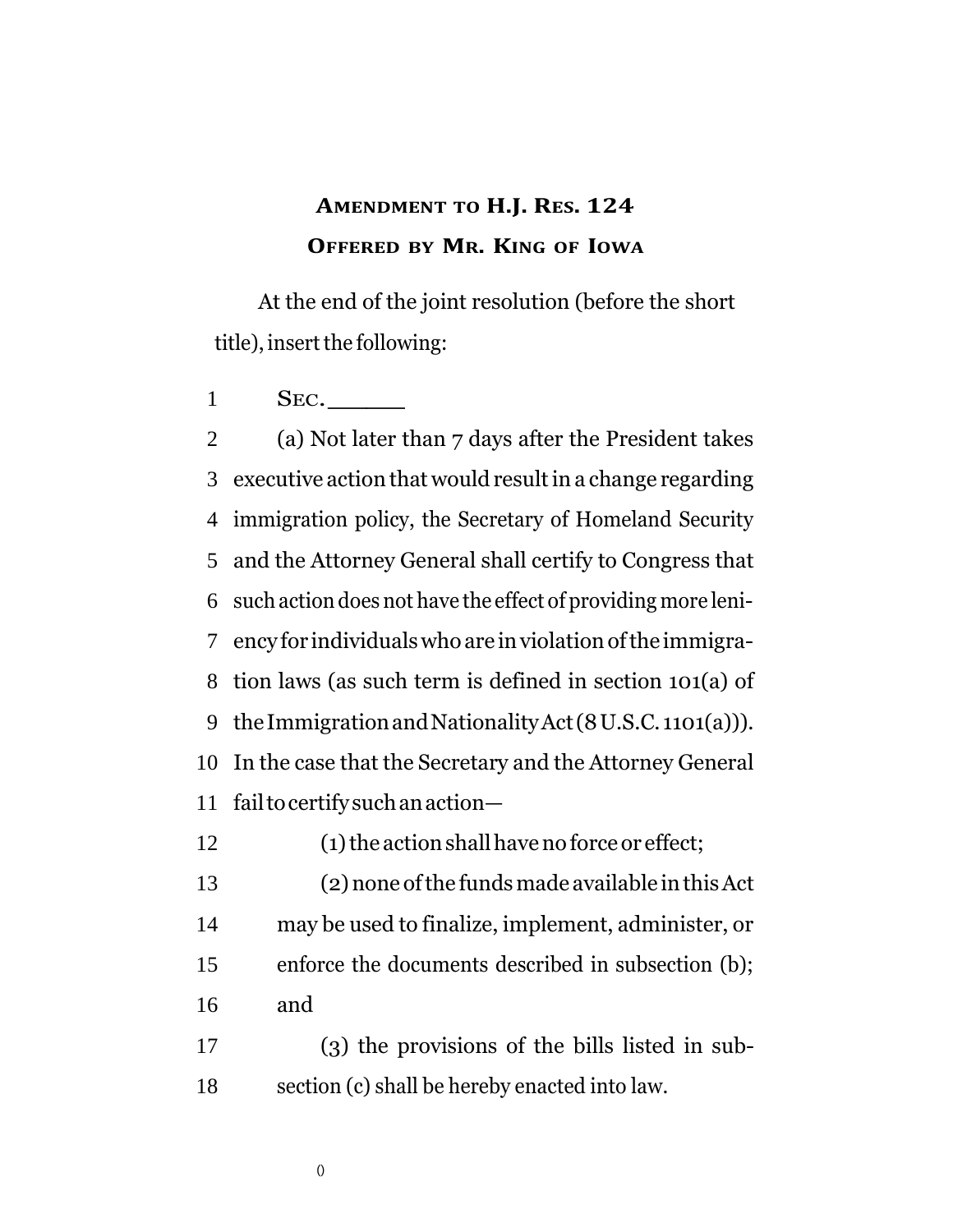## **AMENDMENT TO H.J. RES. 124 OFFERED BY MR. KING OF IOWA**

At the end of the joint resolution (before the short title), insert the following:

1 SEC.

 (a) Not later than 7 days after the President takes executive action that would resultin a change regarding immigration policy, the Secretary of Homeland Security and the Attorney General shall certify to Congress that such action does not have the effect of providing more leni- ency for individualswhoare inviolationofthe immigra- tion laws (as such term is defined in section 101(a) of theImmigrationandNationalityAct(8U.S.C. 1101(a))). In the case that the Secretary and the Attorney General failtocertifysuchanaction— 12 (1) the action shall have no force or effect; (2)none ofthe fundsmade available inthisAct may be used to finalize, implement, administer, or enforce the documents described in subsection (b); and (3) the provisions of the bills listed in sub-

section (c) shall be hereby enacted into law.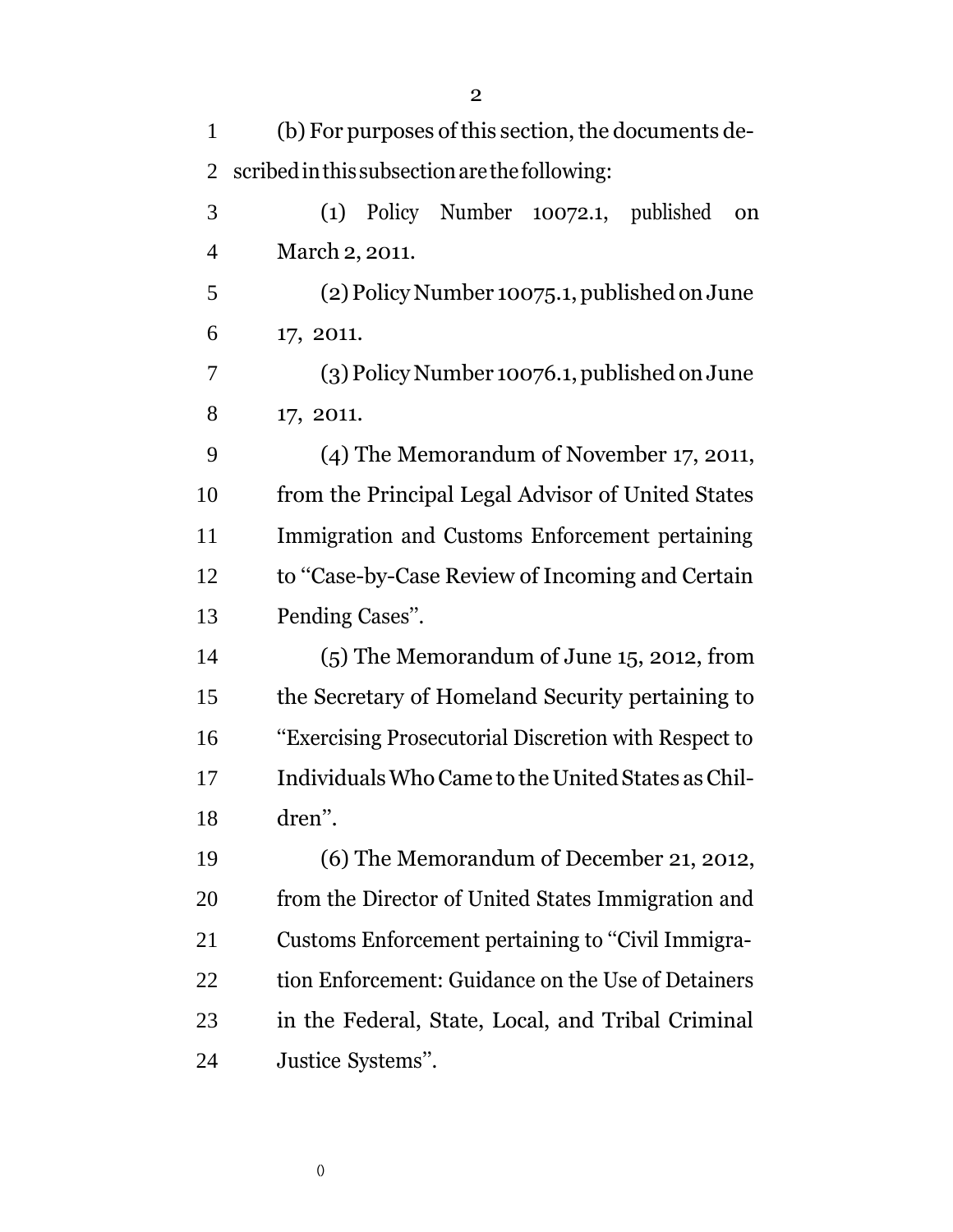| 1              | (b) For purposes of this section, the documents de-  |
|----------------|------------------------------------------------------|
| $\overline{2}$ | scribed in this subsection are the following:        |
| 3              | (1) Policy Number 10072.1, published<br>on           |
| $\overline{4}$ | March 2, 2011.                                       |
| 5              | (2) Policy Number 10075.1, published on June         |
| 6              | 17, 2011.                                            |
| 7              | $(3)$ Policy Number 10076.1, published on June       |
| 8              | 17, 2011.                                            |
| 9              | (4) The Memorandum of November 17, 2011,             |
| 10             | from the Principal Legal Advisor of United States    |
| 11             | Immigration and Customs Enforcement pertaining       |
| 12             | to "Case-by-Case Review of Incoming and Certain      |
| 13             | Pending Cases".                                      |
| 14             | $(5)$ The Memorandum of June 15, 2012, from          |
| 15             | the Secretary of Homeland Security pertaining to     |
| 16             | "Exercising Prosecutorial Discretion with Respect to |
| 17             | Individuals Who Came to the United States as Chil-   |
| 18             | dren".                                               |
| 19             | (6) The Memorandum of December 21, 2012,             |
| 20             | from the Director of United States Immigration and   |
| 21             | Customs Enforcement pertaining to "Civil Immigra-    |
| 22             | tion Enforcement: Guidance on the Use of Detainers   |
| 23             | in the Federal, State, Local, and Tribal Criminal    |
| 24             | Justice Systems".                                    |

()